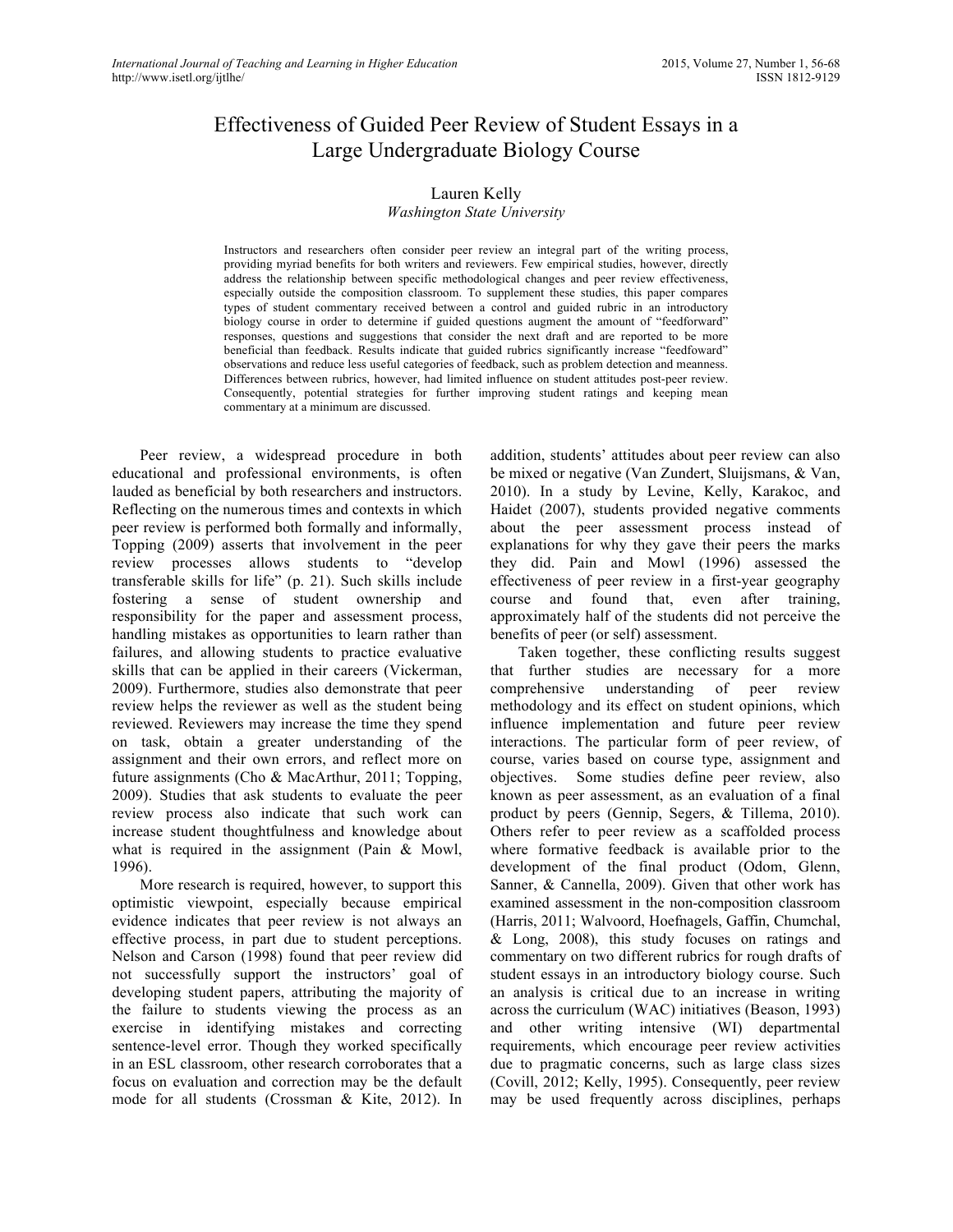# Effectiveness of Guided Peer Review of Student Essays in a Large Undergraduate Biology Course

### Lauren Kelly

### *Washington State University*

Instructors and researchers often consider peer review an integral part of the writing process, providing myriad benefits for both writers and reviewers. Few empirical studies, however, directly address the relationship between specific methodological changes and peer review effectiveness, especially outside the composition classroom. To supplement these studies, this paper compares types of student commentary received between a control and guided rubric in an introductory biology course in order to determine if guided questions augment the amount of "feedforward" responses, questions and suggestions that consider the next draft and are reported to be more beneficial than feedback. Results indicate that guided rubrics significantly increase "feedfoward" observations and reduce less useful categories of feedback, such as problem detection and meanness. Differences between rubrics, however, had limited influence on student attitudes post-peer review. Consequently, potential strategies for further improving student ratings and keeping mean commentary at a minimum are discussed.

Peer review, a widespread procedure in both educational and professional environments, is often lauded as beneficial by both researchers and instructors. Reflecting on the numerous times and contexts in which peer review is performed both formally and informally, Topping (2009) asserts that involvement in the peer review processes allows students to "develop transferable skills for life" (p. 21). Such skills include fostering a sense of student ownership and responsibility for the paper and assessment process, handling mistakes as opportunities to learn rather than failures, and allowing students to practice evaluative skills that can be applied in their careers (Vickerman, 2009). Furthermore, studies also demonstrate that peer review helps the reviewer as well as the student being reviewed. Reviewers may increase the time they spend on task, obtain a greater understanding of the assignment and their own errors, and reflect more on future assignments (Cho & MacArthur, 2011; Topping, 2009). Studies that ask students to evaluate the peer review process also indicate that such work can increase student thoughtfulness and knowledge about what is required in the assignment (Pain & Mowl, 1996).

More research is required, however, to support this optimistic viewpoint, especially because empirical evidence indicates that peer review is not always an effective process, in part due to student perceptions. Nelson and Carson (1998) found that peer review did not successfully support the instructors' goal of developing student papers, attributing the majority of the failure to students viewing the process as an exercise in identifying mistakes and correcting sentence-level error. Though they worked specifically in an ESL classroom, other research corroborates that a focus on evaluation and correction may be the default mode for all students (Crossman & Kite, 2012). In

addition, students' attitudes about peer review can also be mixed or negative (Van Zundert, Sluijsmans, & Van, 2010). In a study by Levine, Kelly, Karakoc, and Haidet (2007), students provided negative comments about the peer assessment process instead of explanations for why they gave their peers the marks they did. Pain and Mowl (1996) assessed the effectiveness of peer review in a first-year geography course and found that, even after training, approximately half of the students did not perceive the benefits of peer (or self) assessment.

Taken together, these conflicting results suggest that further studies are necessary for a more comprehensive understanding of peer review methodology and its effect on student opinions, which influence implementation and future peer review interactions. The particular form of peer review, of course, varies based on course type, assignment and objectives. Some studies define peer review, also known as peer assessment, as an evaluation of a final product by peers (Gennip, Segers, & Tillema, 2010). Others refer to peer review as a scaffolded process where formative feedback is available prior to the development of the final product (Odom, Glenn, Sanner, & Cannella, 2009). Given that other work has examined assessment in the non-composition classroom (Harris, 2011; Walvoord, Hoefnagels, Gaffin, Chumchal, & Long, 2008), this study focuses on ratings and commentary on two different rubrics for rough drafts of student essays in an introductory biology course. Such an analysis is critical due to an increase in writing across the curriculum (WAC) initiatives (Beason, 1993) and other writing intensive (WI) departmental requirements, which encourage peer review activities due to pragmatic concerns, such as large class sizes (Covill, 2012; Kelly, 1995). Consequently, peer review may be used frequently across disciplines, perhaps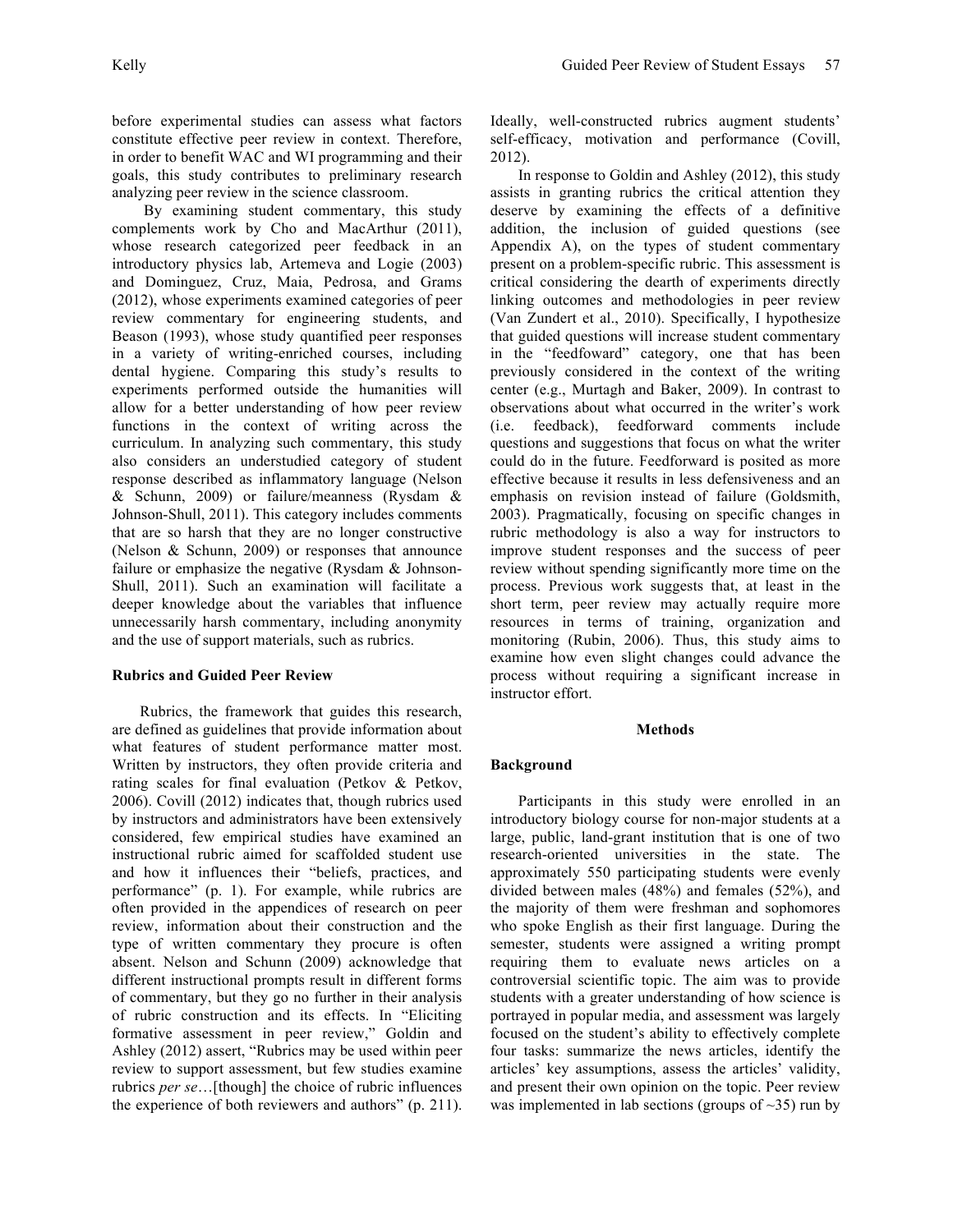before experimental studies can assess what factors constitute effective peer review in context. Therefore, in order to benefit WAC and WI programming and their goals, this study contributes to preliminary research analyzing peer review in the science classroom.

By examining student commentary, this study complements work by Cho and MacArthur (2011), whose research categorized peer feedback in an introductory physics lab, Artemeva and Logie (2003) and Dominguez, Cruz, Maia, Pedrosa, and Grams (2012), whose experiments examined categories of peer review commentary for engineering students, and Beason (1993), whose study quantified peer responses in a variety of writing-enriched courses, including dental hygiene. Comparing this study's results to experiments performed outside the humanities will allow for a better understanding of how peer review functions in the context of writing across the curriculum. In analyzing such commentary, this study also considers an understudied category of student response described as inflammatory language (Nelson & Schunn, 2009) or failure/meanness (Rysdam & Johnson-Shull, 2011). This category includes comments that are so harsh that they are no longer constructive (Nelson & Schunn, 2009) or responses that announce failure or emphasize the negative (Rysdam & Johnson-Shull, 2011). Such an examination will facilitate a deeper knowledge about the variables that influence unnecessarily harsh commentary, including anonymity and the use of support materials, such as rubrics.

### **Rubrics and Guided Peer Review**

Rubrics, the framework that guides this research, are defined as guidelines that provide information about what features of student performance matter most. Written by instructors, they often provide criteria and rating scales for final evaluation (Petkov & Petkov, 2006). Covill (2012) indicates that, though rubrics used by instructors and administrators have been extensively considered, few empirical studies have examined an instructional rubric aimed for scaffolded student use and how it influences their "beliefs, practices, and performance" (p. 1). For example, while rubrics are often provided in the appendices of research on peer review, information about their construction and the type of written commentary they procure is often absent. Nelson and Schunn (2009) acknowledge that different instructional prompts result in different forms of commentary, but they go no further in their analysis of rubric construction and its effects. In "Eliciting formative assessment in peer review," Goldin and Ashley (2012) assert, "Rubrics may be used within peer review to support assessment, but few studies examine rubrics *per se*…[though] the choice of rubric influences the experience of both reviewers and authors" (p. 211).

Ideally, well-constructed rubrics augment students' self-efficacy, motivation and performance (Covill, 2012).

In response to Goldin and Ashley (2012), this study assists in granting rubrics the critical attention they deserve by examining the effects of a definitive addition, the inclusion of guided questions (see Appendix A), on the types of student commentary present on a problem-specific rubric. This assessment is critical considering the dearth of experiments directly linking outcomes and methodologies in peer review (Van Zundert et al., 2010). Specifically, I hypothesize that guided questions will increase student commentary in the "feedfoward" category, one that has been previously considered in the context of the writing center (e.g., Murtagh and Baker, 2009). In contrast to observations about what occurred in the writer's work (i.e. feedback), feedforward comments include questions and suggestions that focus on what the writer could do in the future. Feedforward is posited as more effective because it results in less defensiveness and an emphasis on revision instead of failure (Goldsmith, 2003). Pragmatically, focusing on specific changes in rubric methodology is also a way for instructors to improve student responses and the success of peer review without spending significantly more time on the process. Previous work suggests that, at least in the short term, peer review may actually require more resources in terms of training, organization and monitoring (Rubin, 2006). Thus, this study aims to examine how even slight changes could advance the process without requiring a significant increase in instructor effort.

#### **Methods**

### **Background**

Participants in this study were enrolled in an introductory biology course for non-major students at a large, public, land-grant institution that is one of two research-oriented universities in the state. The approximately 550 participating students were evenly divided between males (48%) and females (52%), and the majority of them were freshman and sophomores who spoke English as their first language. During the semester, students were assigned a writing prompt requiring them to evaluate news articles on a controversial scientific topic. The aim was to provide students with a greater understanding of how science is portrayed in popular media, and assessment was largely focused on the student's ability to effectively complete four tasks: summarize the news articles, identify the articles' key assumptions, assess the articles' validity, and present their own opinion on the topic. Peer review was implemented in lab sections (groups of  $\sim$ 35) run by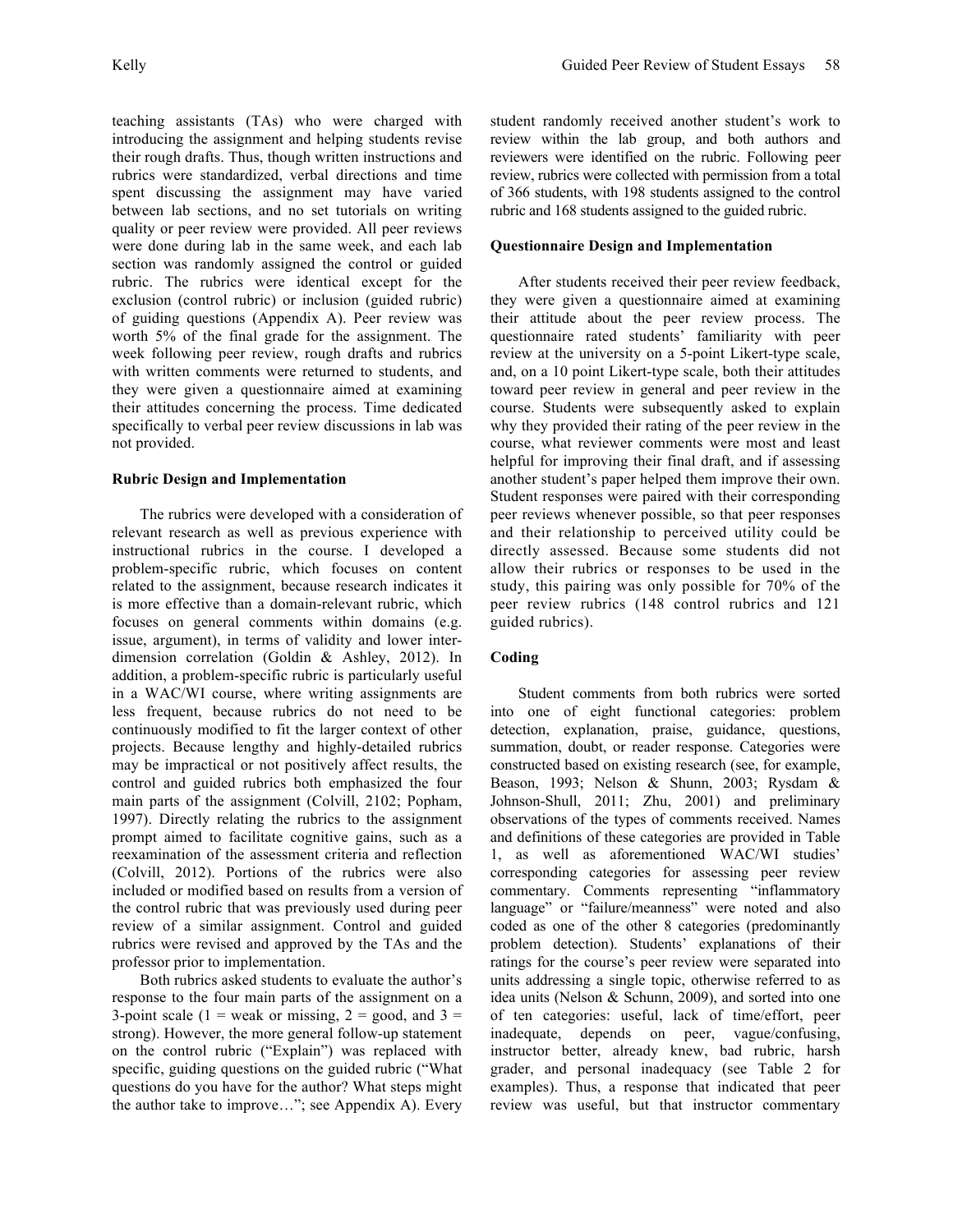teaching assistants (TAs) who were charged with introducing the assignment and helping students revise their rough drafts. Thus, though written instructions and rubrics were standardized, verbal directions and time spent discussing the assignment may have varied between lab sections, and no set tutorials on writing quality or peer review were provided. All peer reviews were done during lab in the same week, and each lab section was randomly assigned the control or guided rubric. The rubrics were identical except for the exclusion (control rubric) or inclusion (guided rubric) of guiding questions (Appendix A). Peer review was worth 5% of the final grade for the assignment. The week following peer review, rough drafts and rubrics with written comments were returned to students, and they were given a questionnaire aimed at examining their attitudes concerning the process. Time dedicated specifically to verbal peer review discussions in lab was not provided.

### **Rubric Design and Implementation**

The rubrics were developed with a consideration of relevant research as well as previous experience with instructional rubrics in the course. I developed a problem-specific rubric, which focuses on content related to the assignment, because research indicates it is more effective than a domain-relevant rubric, which focuses on general comments within domains (e.g. issue, argument), in terms of validity and lower interdimension correlation (Goldin & Ashley, 2012). In addition, a problem-specific rubric is particularly useful in a WAC/WI course, where writing assignments are less frequent, because rubrics do not need to be continuously modified to fit the larger context of other projects. Because lengthy and highly-detailed rubrics may be impractical or not positively affect results, the control and guided rubrics both emphasized the four main parts of the assignment (Colvill, 2102; Popham, 1997). Directly relating the rubrics to the assignment prompt aimed to facilitate cognitive gains, such as a reexamination of the assessment criteria and reflection (Colvill, 2012). Portions of the rubrics were also included or modified based on results from a version of the control rubric that was previously used during peer review of a similar assignment. Control and guided rubrics were revised and approved by the TAs and the professor prior to implementation.

Both rubrics asked students to evaluate the author's response to the four main parts of the assignment on a 3-point scale (1 = weak or missing,  $2 = \text{good}$ , and 3 = strong). However, the more general follow-up statement on the control rubric ("Explain") was replaced with specific, guiding questions on the guided rubric ("What questions do you have for the author? What steps might the author take to improve…"; see Appendix A). Every student randomly received another student's work to review within the lab group, and both authors and reviewers were identified on the rubric. Following peer review, rubrics were collected with permission from a total of 366 students, with 198 students assigned to the control rubric and 168 students assigned to the guided rubric.

### **Questionnaire Design and Implementation**

After students received their peer review feedback, they were given a questionnaire aimed at examining their attitude about the peer review process. The questionnaire rated students' familiarity with peer review at the university on a 5-point Likert-type scale, and, on a 10 point Likert-type scale, both their attitudes toward peer review in general and peer review in the course. Students were subsequently asked to explain why they provided their rating of the peer review in the course, what reviewer comments were most and least helpful for improving their final draft, and if assessing another student's paper helped them improve their own. Student responses were paired with their corresponding peer reviews whenever possible, so that peer responses and their relationship to perceived utility could be directly assessed. Because some students did not allow their rubrics or responses to be used in the study, this pairing was only possible for 70% of the peer review rubrics (148 control rubrics and 121 guided rubrics).

### **Coding**

Student comments from both rubrics were sorted into one of eight functional categories: problem detection, explanation, praise, guidance, questions, summation, doubt, or reader response. Categories were constructed based on existing research (see, for example, Beason, 1993; Nelson & Shunn, 2003; Rysdam & Johnson-Shull, 2011; Zhu, 2001) and preliminary observations of the types of comments received. Names and definitions of these categories are provided in Table 1, as well as aforementioned WAC/WI studies' corresponding categories for assessing peer review commentary. Comments representing "inflammatory language" or "failure/meanness" were noted and also coded as one of the other 8 categories (predominantly problem detection). Students' explanations of their ratings for the course's peer review were separated into units addressing a single topic, otherwise referred to as idea units (Nelson & Schunn, 2009), and sorted into one of ten categories: useful, lack of time/effort, peer inadequate, depends on peer, vague/confusing, instructor better, already knew, bad rubric, harsh grader, and personal inadequacy (see Table 2 for examples). Thus, a response that indicated that peer review was useful, but that instructor commentary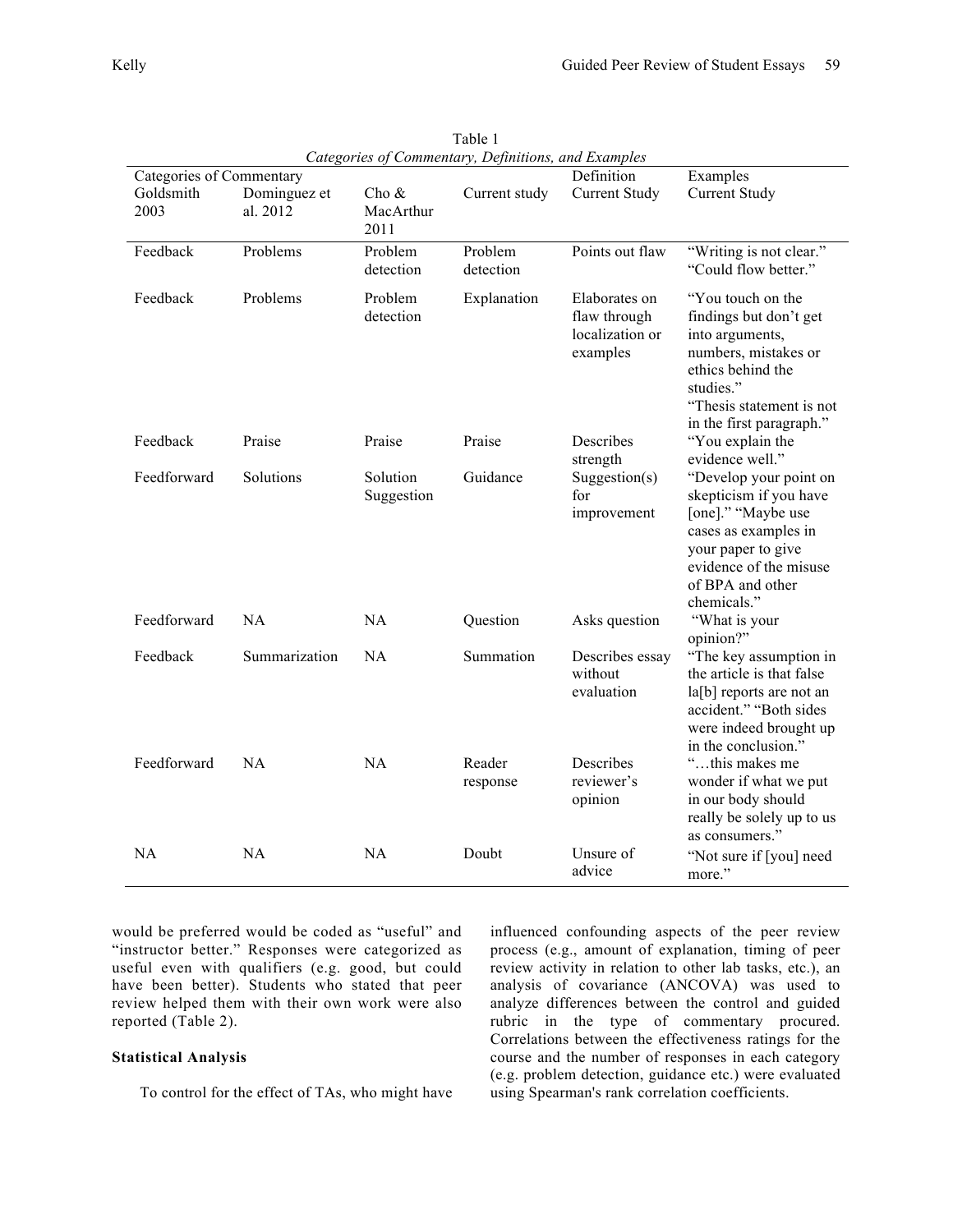| Categories of Commentary, Definitions, and Examples<br>Examples<br>Categories of Commentary |               |            |               |                      |                           |  |  |  |
|---------------------------------------------------------------------------------------------|---------------|------------|---------------|----------------------|---------------------------|--|--|--|
|                                                                                             |               |            |               | Definition           |                           |  |  |  |
| Goldsmith                                                                                   | Dominguez et  | Cho &      | Current study | <b>Current Study</b> | <b>Current Study</b>      |  |  |  |
| 2003                                                                                        | al. 2012      | MacArthur  |               |                      |                           |  |  |  |
|                                                                                             |               | 2011       |               |                      |                           |  |  |  |
| Feedback                                                                                    | Problems      | Problem    | Problem       | Points out flaw      | "Writing is not clear."   |  |  |  |
|                                                                                             |               | detection  | detection     |                      | "Could flow better."      |  |  |  |
|                                                                                             |               |            |               |                      |                           |  |  |  |
| Feedback                                                                                    | Problems      | Problem    | Explanation   | Elaborates on        | "You touch on the         |  |  |  |
|                                                                                             |               | detection  |               | flaw through         | findings but don't get    |  |  |  |
|                                                                                             |               |            |               | localization or      | into arguments,           |  |  |  |
|                                                                                             |               |            |               | examples             | numbers, mistakes or      |  |  |  |
|                                                                                             |               |            |               |                      | ethics behind the         |  |  |  |
|                                                                                             |               |            |               |                      | studies."                 |  |  |  |
|                                                                                             |               |            |               |                      | "Thesis statement is not  |  |  |  |
|                                                                                             |               |            |               |                      | in the first paragraph."  |  |  |  |
| Feedback                                                                                    | Praise        | Praise     | Praise        | Describes            | "You explain the          |  |  |  |
|                                                                                             |               |            |               | strength             | evidence well."           |  |  |  |
| Feedforward                                                                                 | Solutions     | Solution   | Guidance      | Suggestion(s)        | "Develop your point on    |  |  |  |
|                                                                                             |               | Suggestion |               | for                  | skepticism if you have    |  |  |  |
|                                                                                             |               |            |               |                      |                           |  |  |  |
|                                                                                             |               |            |               | improvement          | [one]." "Maybe use        |  |  |  |
|                                                                                             |               |            |               |                      | cases as examples in      |  |  |  |
|                                                                                             |               |            |               |                      | your paper to give        |  |  |  |
|                                                                                             |               |            |               |                      | evidence of the misuse    |  |  |  |
|                                                                                             |               |            |               |                      | of BPA and other          |  |  |  |
|                                                                                             |               |            |               |                      | chemicals."               |  |  |  |
| Feedforward                                                                                 | <b>NA</b>     | NA         | Question      | Asks question        | "What is your             |  |  |  |
|                                                                                             |               |            |               |                      | opinion?"                 |  |  |  |
| Feedback                                                                                    | Summarization | <b>NA</b>  | Summation     | Describes essay      | "The key assumption in    |  |  |  |
|                                                                                             |               |            |               | without              | the article is that false |  |  |  |
|                                                                                             |               |            |               | evaluation           | la[b] reports are not an  |  |  |  |
|                                                                                             |               |            |               |                      | accident." "Both sides    |  |  |  |
|                                                                                             |               |            |               |                      | were indeed brought up    |  |  |  |
|                                                                                             |               |            |               |                      | in the conclusion."       |  |  |  |
| Feedforward                                                                                 | <b>NA</b>     | <b>NA</b>  | Reader        | Describes            | "this makes me            |  |  |  |
|                                                                                             |               |            | response      | reviewer's           | wonder if what we put     |  |  |  |
|                                                                                             |               |            |               | opinion              | in our body should        |  |  |  |
|                                                                                             |               |            |               |                      | really be solely up to us |  |  |  |
|                                                                                             |               |            |               |                      | as consumers."            |  |  |  |
| <b>NA</b>                                                                                   | <b>NA</b>     | NA         | Doubt         | Unsure of            | "Not sure if [you] need   |  |  |  |
|                                                                                             |               |            |               | advice               | more."                    |  |  |  |
|                                                                                             |               |            |               |                      |                           |  |  |  |

Table 1 *Categories of Commentary, Definitions, and Examples*

would be preferred would be coded as "useful" and "instructor better." Responses were categorized as useful even with qualifiers (e.g. good, but could have been better). Students who stated that peer review helped them with their own work were also reported (Table 2).

### **Statistical Analysis**

To control for the effect of TAs, who might have

influenced confounding aspects of the peer review process (e.g., amount of explanation, timing of peer review activity in relation to other lab tasks, etc.), an analysis of covariance (ANCOVA) was used to analyze differences between the control and guided rubric in the type of commentary procured. Correlations between the effectiveness ratings for the course and the number of responses in each category (e.g. problem detection, guidance etc.) were evaluated using Spearman's rank correlation coefficients.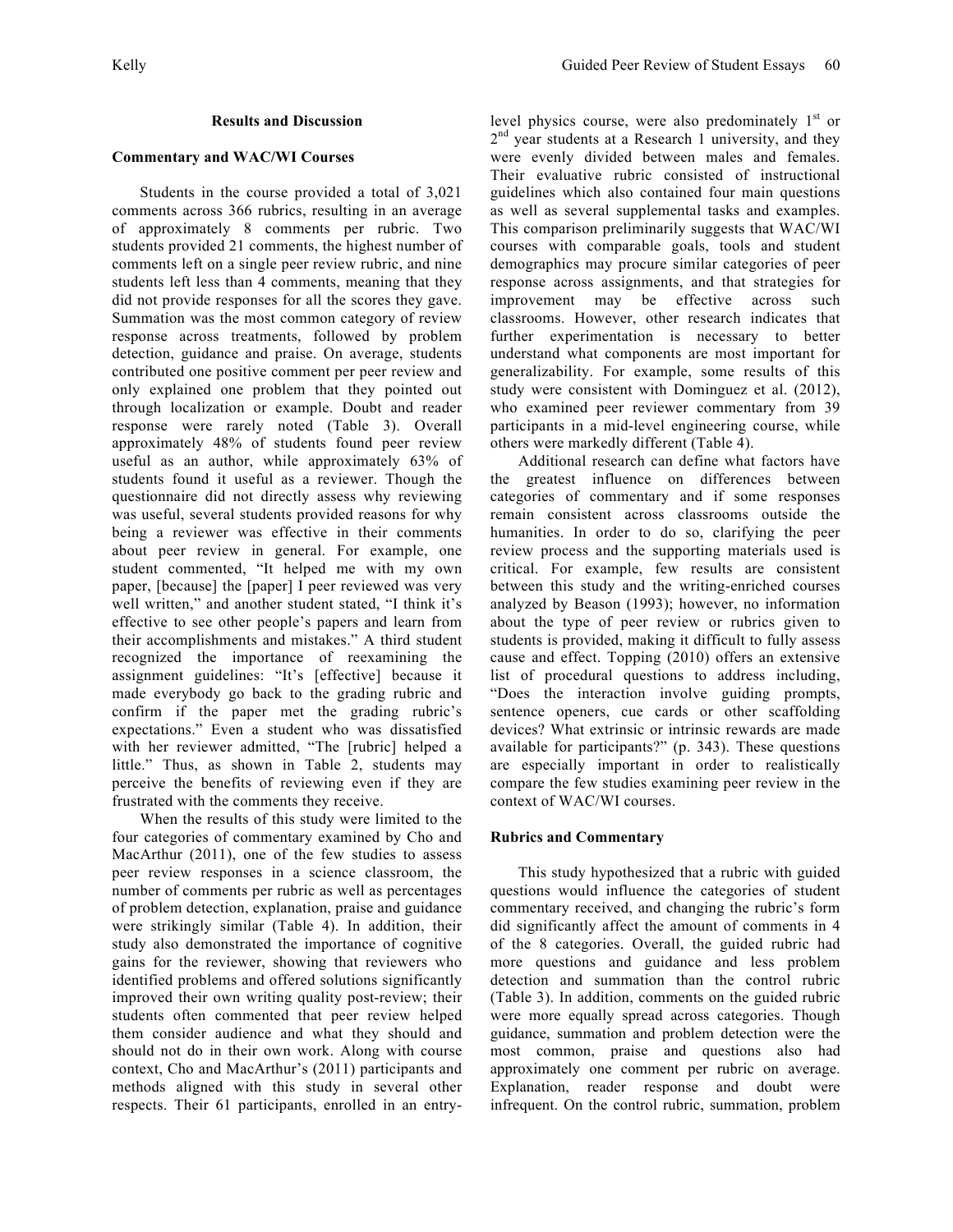### **Results and Discussion**

### **Commentary and WAC/WI Courses**

Students in the course provided a total of 3,021 comments across 366 rubrics, resulting in an average of approximately 8 comments per rubric. Two students provided 21 comments, the highest number of comments left on a single peer review rubric, and nine students left less than 4 comments, meaning that they did not provide responses for all the scores they gave. Summation was the most common category of review response across treatments, followed by problem detection, guidance and praise. On average, students contributed one positive comment per peer review and only explained one problem that they pointed out through localization or example. Doubt and reader response were rarely noted (Table 3). Overall approximately 48% of students found peer review useful as an author, while approximately 63% of students found it useful as a reviewer. Though the questionnaire did not directly assess why reviewing was useful, several students provided reasons for why being a reviewer was effective in their comments about peer review in general. For example, one student commented, "It helped me with my own paper, [because] the [paper] I peer reviewed was very well written," and another student stated, "I think it's effective to see other people's papers and learn from their accomplishments and mistakes." A third student recognized the importance of reexamining the assignment guidelines: "It's [effective] because it made everybody go back to the grading rubric and confirm if the paper met the grading rubric's expectations." Even a student who was dissatisfied with her reviewer admitted, "The [rubric] helped a little." Thus, as shown in Table 2, students may perceive the benefits of reviewing even if they are frustrated with the comments they receive.

When the results of this study were limited to the four categories of commentary examined by Cho and MacArthur (2011), one of the few studies to assess peer review responses in a science classroom, the number of comments per rubric as well as percentages of problem detection, explanation, praise and guidance were strikingly similar (Table 4). In addition, their study also demonstrated the importance of cognitive gains for the reviewer, showing that reviewers who identified problems and offered solutions significantly improved their own writing quality post-review; their students often commented that peer review helped them consider audience and what they should and should not do in their own work. Along with course context, Cho and MacArthur's (2011) participants and methods aligned with this study in several other respects. Their 61 participants, enrolled in an entrylevel physics course, were also predominately  $1<sup>st</sup>$  or  $2<sup>nd</sup>$  year students at a Research 1 university, and they were evenly divided between males and females. Their evaluative rubric consisted of instructional guidelines which also contained four main questions as well as several supplemental tasks and examples. This comparison preliminarily suggests that WAC/WI courses with comparable goals, tools and student demographics may procure similar categories of peer response across assignments, and that strategies for improvement may be effective across such classrooms. However, other research indicates that further experimentation is necessary to better understand what components are most important for generalizability. For example, some results of this study were consistent with Dominguez et al. (2012), who examined peer reviewer commentary from 39 participants in a mid-level engineering course, while others were markedly different (Table 4).

Additional research can define what factors have the greatest influence on differences between categories of commentary and if some responses remain consistent across classrooms outside the humanities. In order to do so, clarifying the peer review process and the supporting materials used is critical. For example, few results are consistent between this study and the writing-enriched courses analyzed by Beason (1993); however, no information about the type of peer review or rubrics given to students is provided, making it difficult to fully assess cause and effect. Topping (2010) offers an extensive list of procedural questions to address including, "Does the interaction involve guiding prompts, sentence openers, cue cards or other scaffolding devices? What extrinsic or intrinsic rewards are made available for participants?" (p. 343). These questions are especially important in order to realistically compare the few studies examining peer review in the context of WAC/WI courses.

### **Rubrics and Commentary**

This study hypothesized that a rubric with guided questions would influence the categories of student commentary received, and changing the rubric's form did significantly affect the amount of comments in 4 of the 8 categories. Overall, the guided rubric had more questions and guidance and less problem detection and summation than the control rubric (Table 3). In addition, comments on the guided rubric were more equally spread across categories. Though guidance, summation and problem detection were the most common, praise and questions also had approximately one comment per rubric on average. Explanation, reader response and doubt were infrequent. On the control rubric, summation, problem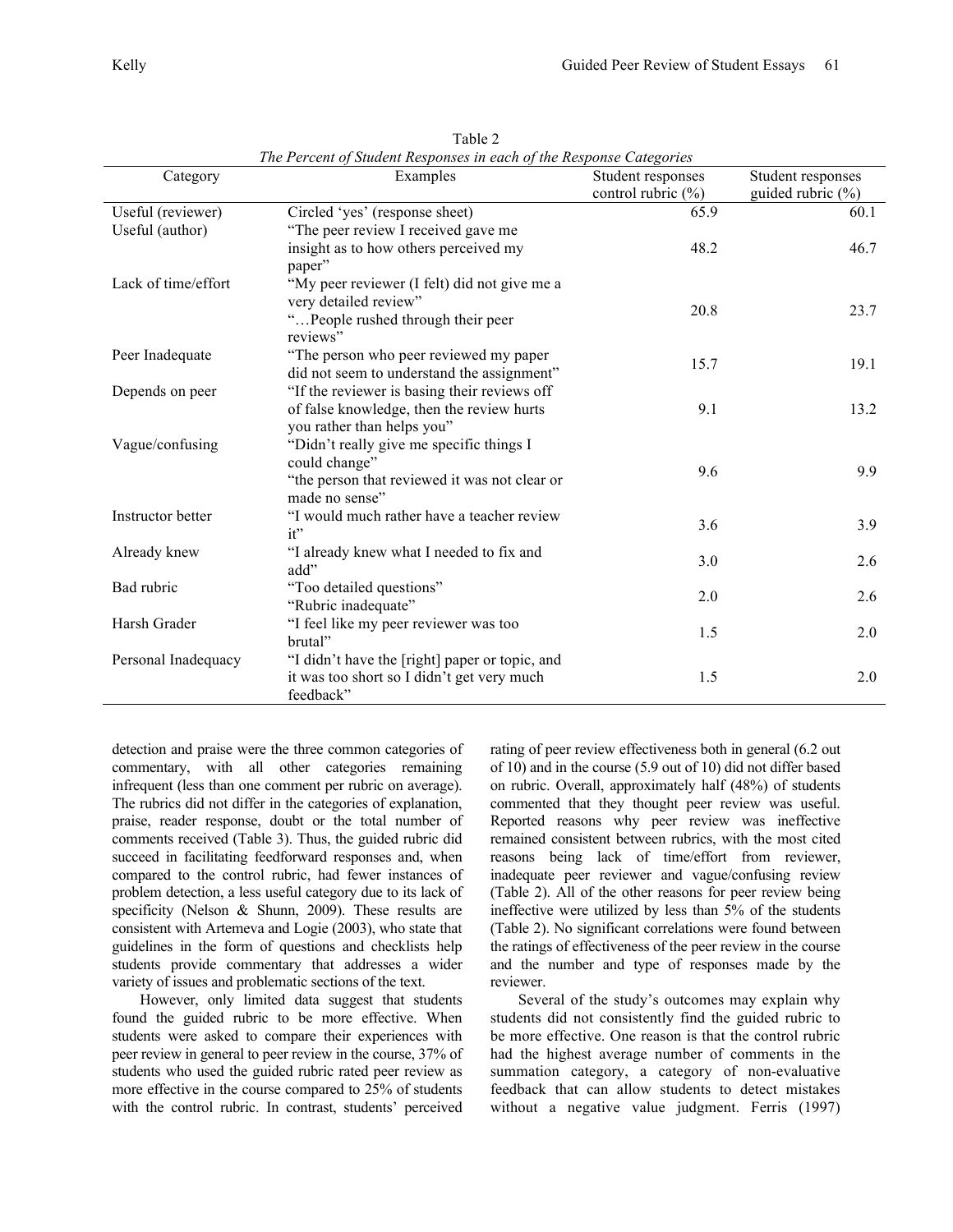| y |  |  |  |
|---|--|--|--|
|   |  |  |  |
|   |  |  |  |

| The Percent of Student Responses in each of the Response Categories |                                                |                                             |                       |  |  |  |  |
|---------------------------------------------------------------------|------------------------------------------------|---------------------------------------------|-----------------------|--|--|--|--|
| Category                                                            | Examples                                       | Student responses<br>control rubric $(\% )$ | Student responses     |  |  |  |  |
|                                                                     |                                                |                                             | guided rubric $(\% )$ |  |  |  |  |
| Useful (reviewer)                                                   | Circled 'yes' (response sheet)                 | 65.9                                        | 60.1                  |  |  |  |  |
| Useful (author)                                                     | "The peer review I received gave me            |                                             |                       |  |  |  |  |
|                                                                     | insight as to how others perceived my          | 48.2                                        | 46.7                  |  |  |  |  |
|                                                                     | paper"                                         |                                             |                       |  |  |  |  |
| Lack of time/effort                                                 | "My peer reviewer (I felt) did not give me a   |                                             |                       |  |  |  |  |
|                                                                     | very detailed review"                          | 20.8                                        | 23.7                  |  |  |  |  |
|                                                                     | "People rushed through their peer              |                                             |                       |  |  |  |  |
|                                                                     | reviews"                                       |                                             |                       |  |  |  |  |
| Peer Inadequate                                                     | "The person who peer reviewed my paper         | 15.7                                        |                       |  |  |  |  |
|                                                                     | did not seem to understand the assignment"     |                                             | 19.1                  |  |  |  |  |
| Depends on peer                                                     | "If the reviewer is basing their reviews off   |                                             |                       |  |  |  |  |
|                                                                     | of false knowledge, then the review hurts      | 9.1                                         | 13.2                  |  |  |  |  |
|                                                                     | you rather than helps you"                     |                                             |                       |  |  |  |  |
| Vague/confusing                                                     | "Didn't really give me specific things I       |                                             |                       |  |  |  |  |
|                                                                     | could change"                                  |                                             |                       |  |  |  |  |
|                                                                     | "the person that reviewed it was not clear or  | 9.6                                         | 9.9                   |  |  |  |  |
|                                                                     | made no sense"                                 |                                             |                       |  |  |  |  |
| Instructor better                                                   | "I would much rather have a teacher review     |                                             |                       |  |  |  |  |
|                                                                     | it"                                            | 3.6                                         | 3.9                   |  |  |  |  |
| Already knew                                                        | "I already knew what I needed to fix and       | 3.0                                         |                       |  |  |  |  |
|                                                                     | add"                                           |                                             | 2.6                   |  |  |  |  |
| Bad rubric                                                          | "Too detailed questions"                       |                                             |                       |  |  |  |  |
|                                                                     | "Rubric inadequate"                            | 2.0                                         | 2.6                   |  |  |  |  |
| Harsh Grader                                                        | "I feel like my peer reviewer was too          | 1.5                                         | 2.0                   |  |  |  |  |
|                                                                     | brutal"                                        |                                             |                       |  |  |  |  |
| Personal Inadequacy                                                 | "I didn't have the [right] paper or topic, and |                                             |                       |  |  |  |  |
|                                                                     | it was too short so I didn't get very much     | 1.5                                         | 2.0                   |  |  |  |  |
|                                                                     | feedback"                                      |                                             |                       |  |  |  |  |
|                                                                     |                                                |                                             |                       |  |  |  |  |

Table 2

detection and praise were the three common categories of commentary, with all other categories remaining infrequent (less than one comment per rubric on average). The rubrics did not differ in the categories of explanation, praise, reader response, doubt or the total number of comments received (Table 3). Thus, the guided rubric did succeed in facilitating feedforward responses and, when compared to the control rubric, had fewer instances of problem detection, a less useful category due to its lack of specificity (Nelson & Shunn, 2009). These results are consistent with Artemeva and Logie (2003), who state that guidelines in the form of questions and checklists help students provide commentary that addresses a wider variety of issues and problematic sections of the text.

However, only limited data suggest that students found the guided rubric to be more effective. When students were asked to compare their experiences with peer review in general to peer review in the course, 37% of students who used the guided rubric rated peer review as more effective in the course compared to 25% of students with the control rubric. In contrast, students' perceived rating of peer review effectiveness both in general (6.2 out of 10) and in the course (5.9 out of 10) did not differ based on rubric. Overall, approximately half (48%) of students commented that they thought peer review was useful. Reported reasons why peer review was ineffective remained consistent between rubrics, with the most cited reasons being lack of time/effort from reviewer, inadequate peer reviewer and vague/confusing review (Table 2). All of the other reasons for peer review being ineffective were utilized by less than 5% of the students (Table 2). No significant correlations were found between the ratings of effectiveness of the peer review in the course and the number and type of responses made by the reviewer.

Several of the study's outcomes may explain why students did not consistently find the guided rubric to be more effective. One reason is that the control rubric had the highest average number of comments in the summation category, a category of non-evaluative feedback that can allow students to detect mistakes without a negative value judgment. Ferris (1997)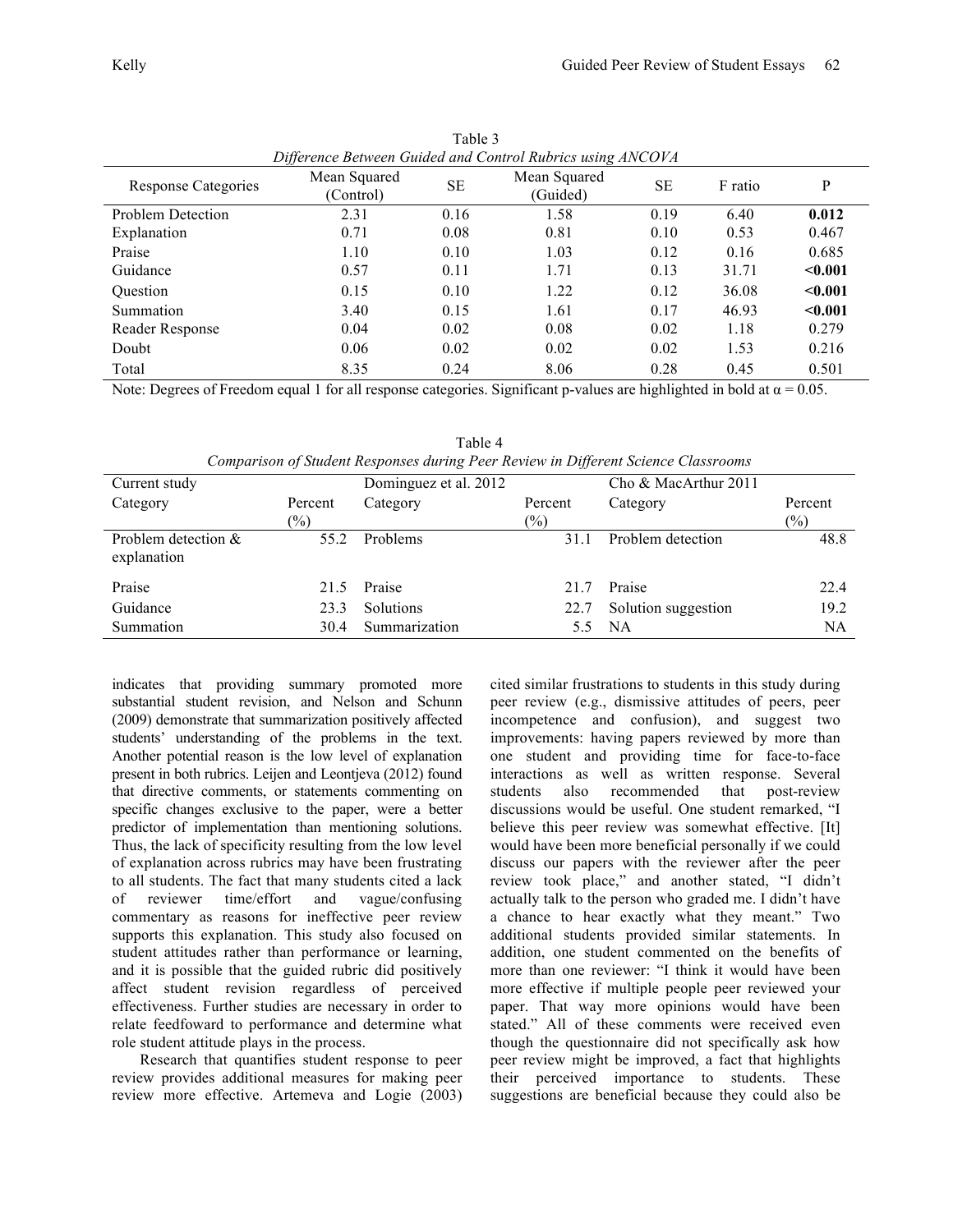| Difference Between Guided and Control Rubrics using ANCOVA |                           |           |                          |           |         |         |  |
|------------------------------------------------------------|---------------------------|-----------|--------------------------|-----------|---------|---------|--|
| Response Categories                                        | Mean Squared<br>(Control) | <b>SE</b> | Mean Squared<br>(Guided) | <b>SE</b> | F ratio | P       |  |
| <b>Problem Detection</b>                                   | 2.31                      | 0.16      | 1.58                     | 0.19      | 6.40    | 0.012   |  |
| Explanation                                                | 0.71                      | 0.08      | 0.81                     | 0.10      | 0.53    | 0.467   |  |
| Praise                                                     | 1.10                      | 0.10      | 1.03                     | 0.12      | 0.16    | 0.685   |  |
| Guidance                                                   | 0.57                      | 0.11      | 1.71                     | 0.13      | 31.71   | $0.001$ |  |
| Question                                                   | 0.15                      | 0.10      | 1.22                     | 0.12      | 36.08   | < 0.001 |  |
| Summation                                                  | 3.40                      | 0.15      | 1.61                     | 0.17      | 46.93   | < 0.001 |  |
| Reader Response                                            | 0.04                      | 0.02      | 0.08                     | 0.02      | 1.18    | 0.279   |  |
| Doubt                                                      | 0.06                      | 0.02      | 0.02                     | 0.02      | 1.53    | 0.216   |  |
| Total                                                      | 8.35                      | 0.24      | 8.06                     | 0.28      | 0.45    | 0.501   |  |

Table 3

Note: Degrees of Freedom equal 1 for all response categories. Significant p-values are highlighted in bold at  $\alpha = 0.05$ .

Table 4 *Comparison of Student Responses during Peer Review in Different Science Classrooms*

| Current study                        |               | Dominguez et al. 2012 |               | Cho & MacArthur 2011 |         |
|--------------------------------------|---------------|-----------------------|---------------|----------------------|---------|
| Category                             | Percent       | Category              | Percent       | Category             | Percent |
|                                      | $\frac{1}{2}$ |                       | $\frac{6}{2}$ |                      | $(\%)$  |
| Problem detection $&$<br>explanation | 55.2          | Problems              | 31.1          | Problem detection    | 48.8    |
| Praise                               | 21.5          | Praise                | 21.7          | Praise               | 22.4    |
| Guidance                             | 23.3          | <b>Solutions</b>      | 22.7          | Solution suggestion  | 19.2    |
| Summation                            | 30.4          | Summarization         |               | <b>NA</b>            | NA      |

indicates that providing summary promoted more substantial student revision, and Nelson and Schunn (2009) demonstrate that summarization positively affected students' understanding of the problems in the text. Another potential reason is the low level of explanation present in both rubrics. Leijen and Leontjeva (2012) found that directive comments, or statements commenting on specific changes exclusive to the paper, were a better predictor of implementation than mentioning solutions. Thus, the lack of specificity resulting from the low level of explanation across rubrics may have been frustrating to all students. The fact that many students cited a lack of reviewer time/effort and vague/confusing commentary as reasons for ineffective peer review supports this explanation. This study also focused on student attitudes rather than performance or learning, and it is possible that the guided rubric did positively affect student revision regardless of perceived effectiveness. Further studies are necessary in order to relate feedfoward to performance and determine what role student attitude plays in the process.

Research that quantifies student response to peer review provides additional measures for making peer review more effective. Artemeva and Logie (2003) cited similar frustrations to students in this study during peer review (e.g., dismissive attitudes of peers, peer incompetence and confusion), and suggest two improvements: having papers reviewed by more than one student and providing time for face-to-face interactions as well as written response. Several students also recommended that post-review discussions would be useful. One student remarked, "I believe this peer review was somewhat effective. [It] would have been more beneficial personally if we could discuss our papers with the reviewer after the peer review took place," and another stated, "I didn't actually talk to the person who graded me. I didn't have a chance to hear exactly what they meant." Two additional students provided similar statements. In addition, one student commented on the benefits of more than one reviewer: "I think it would have been more effective if multiple people peer reviewed your paper. That way more opinions would have been stated." All of these comments were received even though the questionnaire did not specifically ask how peer review might be improved, a fact that highlights their perceived importance to students. These suggestions are beneficial because they could also be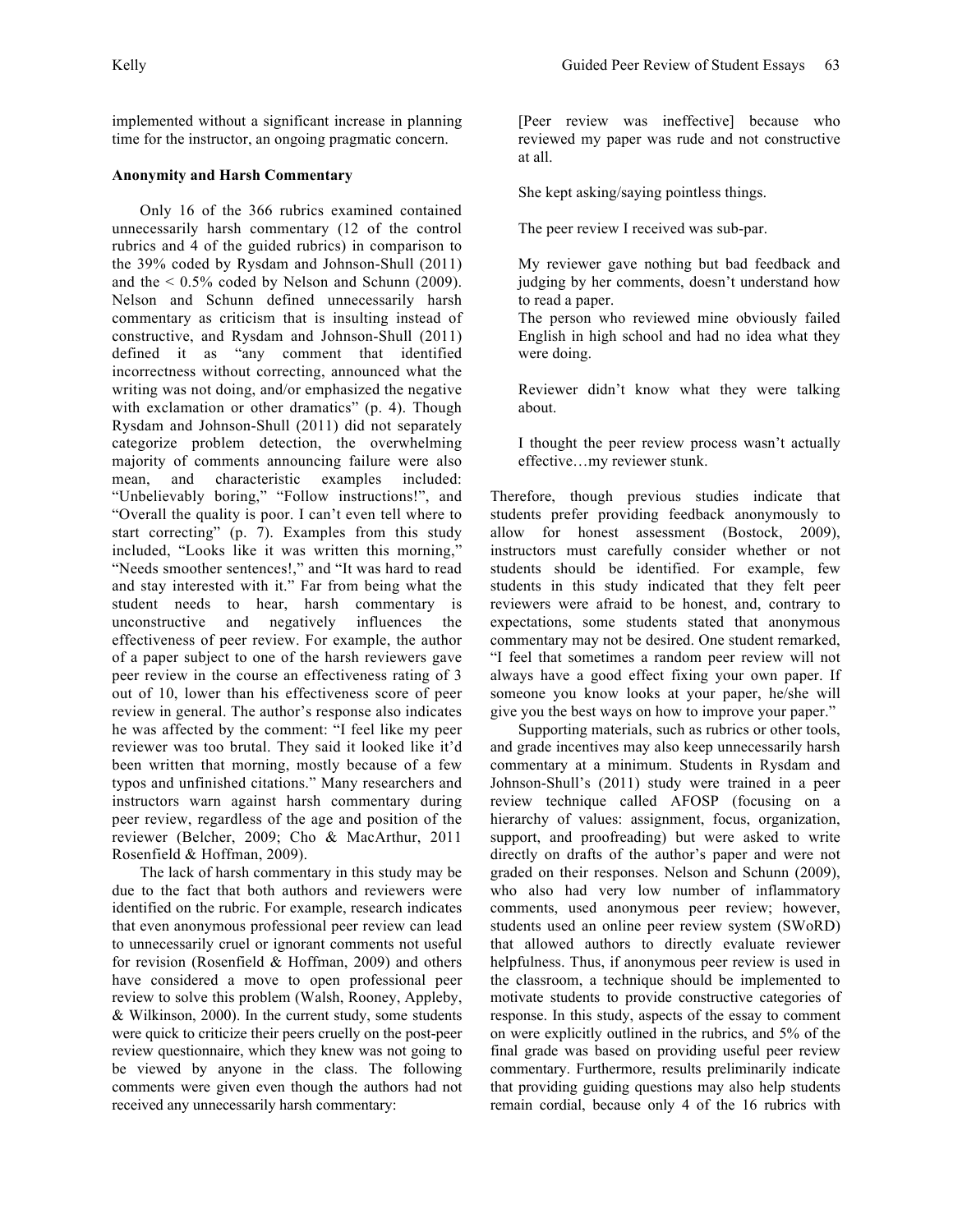implemented without a significant increase in planning time for the instructor, an ongoing pragmatic concern.

### **Anonymity and Harsh Commentary**

Only 16 of the 366 rubrics examined contained unnecessarily harsh commentary (12 of the control rubrics and 4 of the guided rubrics) in comparison to the 39% coded by Rysdam and Johnson-Shull (2011) and the  $\leq 0.5\%$  coded by Nelson and Schunn (2009). Nelson and Schunn defined unnecessarily harsh commentary as criticism that is insulting instead of constructive, and Rysdam and Johnson-Shull (2011) defined it as "any comment that identified incorrectness without correcting, announced what the writing was not doing, and/or emphasized the negative with exclamation or other dramatics" (p. 4). Though Rysdam and Johnson-Shull (2011) did not separately categorize problem detection, the overwhelming majority of comments announcing failure were also mean, and characteristic examples included: "Unbelievably boring," "Follow instructions!", and "Overall the quality is poor. I can't even tell where to start correcting" (p. 7). Examples from this study included, "Looks like it was written this morning," "Needs smoother sentences!," and "It was hard to read and stay interested with it." Far from being what the student needs to hear, harsh commentary is unconstructive and negatively influences the effectiveness of peer review. For example, the author of a paper subject to one of the harsh reviewers gave peer review in the course an effectiveness rating of 3 out of 10, lower than his effectiveness score of peer review in general. The author's response also indicates he was affected by the comment: "I feel like my peer reviewer was too brutal. They said it looked like it'd been written that morning, mostly because of a few typos and unfinished citations." Many researchers and instructors warn against harsh commentary during peer review, regardless of the age and position of the reviewer (Belcher, 2009; Cho & MacArthur, 2011 Rosenfield & Hoffman, 2009).

The lack of harsh commentary in this study may be due to the fact that both authors and reviewers were identified on the rubric. For example, research indicates that even anonymous professional peer review can lead to unnecessarily cruel or ignorant comments not useful for revision (Rosenfield & Hoffman, 2009) and others have considered a move to open professional peer review to solve this problem (Walsh, Rooney, Appleby, & Wilkinson, 2000). In the current study, some students were quick to criticize their peers cruelly on the post-peer review questionnaire, which they knew was not going to be viewed by anyone in the class. The following comments were given even though the authors had not received any unnecessarily harsh commentary:

[Peer review was ineffective] because who reviewed my paper was rude and not constructive at all.

She kept asking/saying pointless things.

The peer review I received was sub-par.

My reviewer gave nothing but bad feedback and judging by her comments, doesn't understand how to read a paper.

The person who reviewed mine obviously failed English in high school and had no idea what they were doing.

Reviewer didn't know what they were talking about.

I thought the peer review process wasn't actually effective…my reviewer stunk.

Therefore, though previous studies indicate that students prefer providing feedback anonymously to allow for honest assessment (Bostock, 2009), instructors must carefully consider whether or not students should be identified. For example, few students in this study indicated that they felt peer reviewers were afraid to be honest, and, contrary to expectations, some students stated that anonymous commentary may not be desired. One student remarked, "I feel that sometimes a random peer review will not always have a good effect fixing your own paper. If someone you know looks at your paper, he/she will give you the best ways on how to improve your paper."

Supporting materials, such as rubrics or other tools, and grade incentives may also keep unnecessarily harsh commentary at a minimum. Students in Rysdam and Johnson-Shull's (2011) study were trained in a peer review technique called AFOSP (focusing on a hierarchy of values: assignment, focus, organization, support, and proofreading) but were asked to write directly on drafts of the author's paper and were not graded on their responses. Nelson and Schunn (2009), who also had very low number of inflammatory comments, used anonymous peer review; however, students used an online peer review system (SWoRD) that allowed authors to directly evaluate reviewer helpfulness. Thus, if anonymous peer review is used in the classroom, a technique should be implemented to motivate students to provide constructive categories of response. In this study, aspects of the essay to comment on were explicitly outlined in the rubrics, and 5% of the final grade was based on providing useful peer review commentary. Furthermore, results preliminarily indicate that providing guiding questions may also help students remain cordial, because only 4 of the 16 rubrics with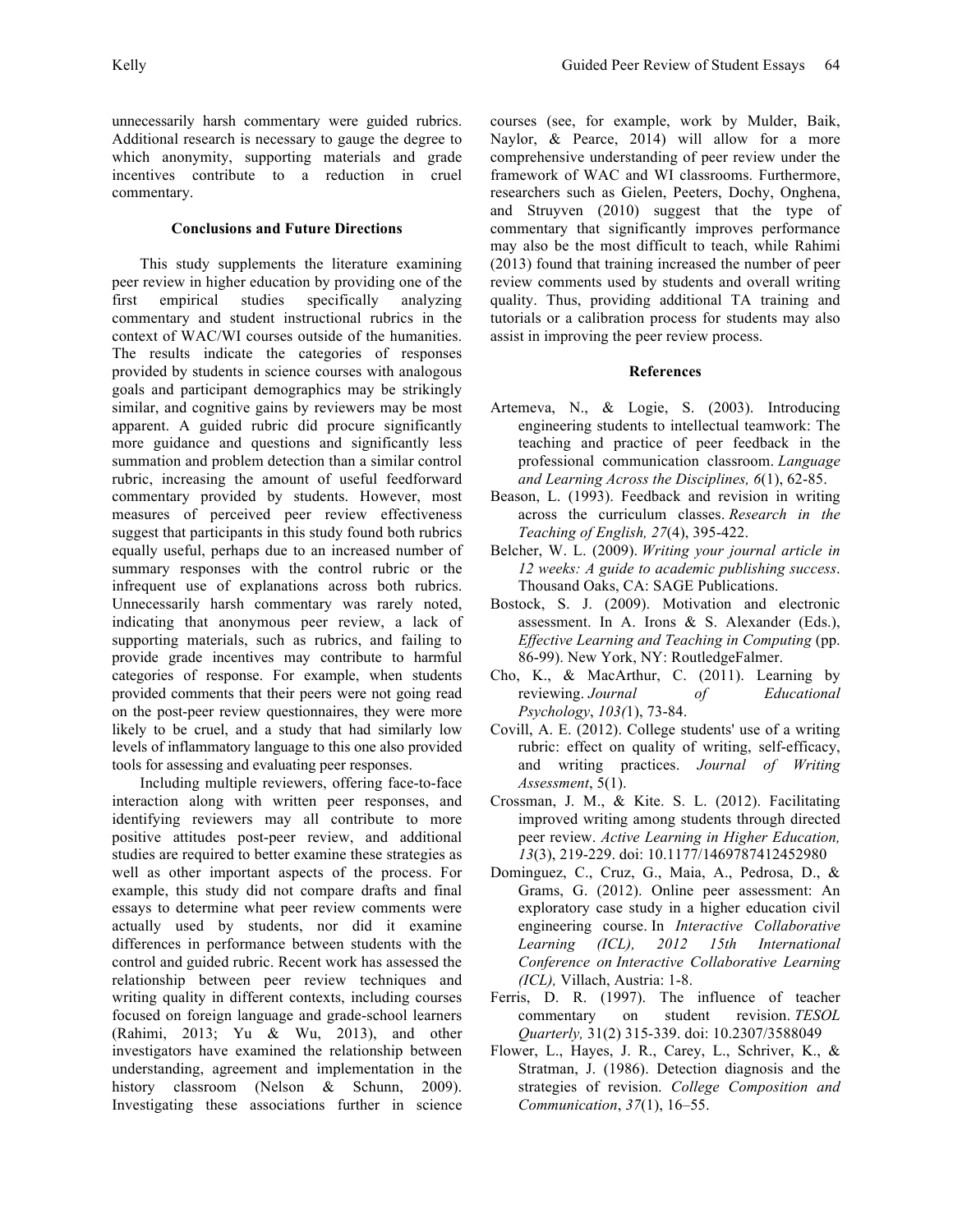unnecessarily harsh commentary were guided rubrics. Additional research is necessary to gauge the degree to which anonymity, supporting materials and grade incentives contribute to a reduction in cruel commentary.

## **Conclusions and Future Directions**

This study supplements the literature examining peer review in higher education by providing one of the first empirical studies specifically analyzing commentary and student instructional rubrics in the context of WAC/WI courses outside of the humanities. The results indicate the categories of responses provided by students in science courses with analogous goals and participant demographics may be strikingly similar, and cognitive gains by reviewers may be most apparent. A guided rubric did procure significantly more guidance and questions and significantly less summation and problem detection than a similar control rubric, increasing the amount of useful feedforward commentary provided by students. However, most measures of perceived peer review effectiveness suggest that participants in this study found both rubrics equally useful, perhaps due to an increased number of summary responses with the control rubric or the infrequent use of explanations across both rubrics. Unnecessarily harsh commentary was rarely noted, indicating that anonymous peer review, a lack of supporting materials, such as rubrics, and failing to provide grade incentives may contribute to harmful categories of response. For example, when students provided comments that their peers were not going read on the post-peer review questionnaires, they were more likely to be cruel, and a study that had similarly low levels of inflammatory language to this one also provided tools for assessing and evaluating peer responses.

Including multiple reviewers, offering face-to-face interaction along with written peer responses, and identifying reviewers may all contribute to more positive attitudes post-peer review, and additional studies are required to better examine these strategies as well as other important aspects of the process. For example, this study did not compare drafts and final essays to determine what peer review comments were actually used by students, nor did it examine differences in performance between students with the control and guided rubric. Recent work has assessed the relationship between peer review techniques and writing quality in different contexts, including courses focused on foreign language and grade-school learners (Rahimi, 2013; Yu & Wu, 2013), and other investigators have examined the relationship between understanding, agreement and implementation in the history classroom (Nelson & Schunn, 2009). Investigating these associations further in science

courses (see, for example, work by Mulder, Baik, Naylor, & Pearce, 2014) will allow for a more comprehensive understanding of peer review under the framework of WAC and WI classrooms. Furthermore, researchers such as Gielen, Peeters, Dochy, Onghena, and Struyven (2010) suggest that the type of commentary that significantly improves performance may also be the most difficult to teach, while Rahimi (2013) found that training increased the number of peer review comments used by students and overall writing quality. Thus, providing additional TA training and tutorials or a calibration process for students may also assist in improving the peer review process.

### **References**

- Artemeva, N., & Logie, S. (2003). Introducing engineering students to intellectual teamwork: The teaching and practice of peer feedback in the professional communication classroom. *Language and Learning Across the Disciplines, 6*(1), 62-85.
- Beason, L. (1993). Feedback and revision in writing across the curriculum classes. *Research in the Teaching of English, 27*(4), 395-422.
- Belcher, W. L. (2009). *Writing your journal article in 12 weeks: A guide to academic publishing success*. Thousand Oaks, CA: SAGE Publications.
- Bostock, S. J. (2009). Motivation and electronic assessment. In A. Irons & S. Alexander (Eds.), *Effective Learning and Teaching in Computing* (pp. 86-99). New York, NY: RoutledgeFalmer.
- Cho, K., & MacArthur, C. (2011). Learning by reviewing. *Journal of Educational Psychology*, *103(*1), 73-84.
- Covill, A. E. (2012). College students' use of a writing rubric: effect on quality of writing, self-efficacy, and writing practices. *Journal of Writing Assessment*, 5(1).
- Crossman, J. M., & Kite. S. L. (2012). Facilitating improved writing among students through directed peer review. *Active Learning in Higher Education, 13*(3), 219-229. doi: 10.1177/1469787412452980
- Dominguez, C., Cruz, G., Maia, A., Pedrosa, D., & Grams, G. (2012). Online peer assessment: An exploratory case study in a higher education civil engineering course. In *Interactive Collaborative Learning (ICL), 2012 15th International Conference on Interactive Collaborative Learning (ICL),* Villach, Austria: 1-8.
- Ferris, D. R. (1997). The influence of teacher commentary on student revision. *TESOL Quarterly,* 31(2) 315-339. doi: 10.2307/3588049
- Flower, L., Hayes, J. R., Carey, L., Schriver, K., & Stratman, J. (1986). Detection diagnosis and the strategies of revision. *College Composition and Communication*, *37*(1), 16–55.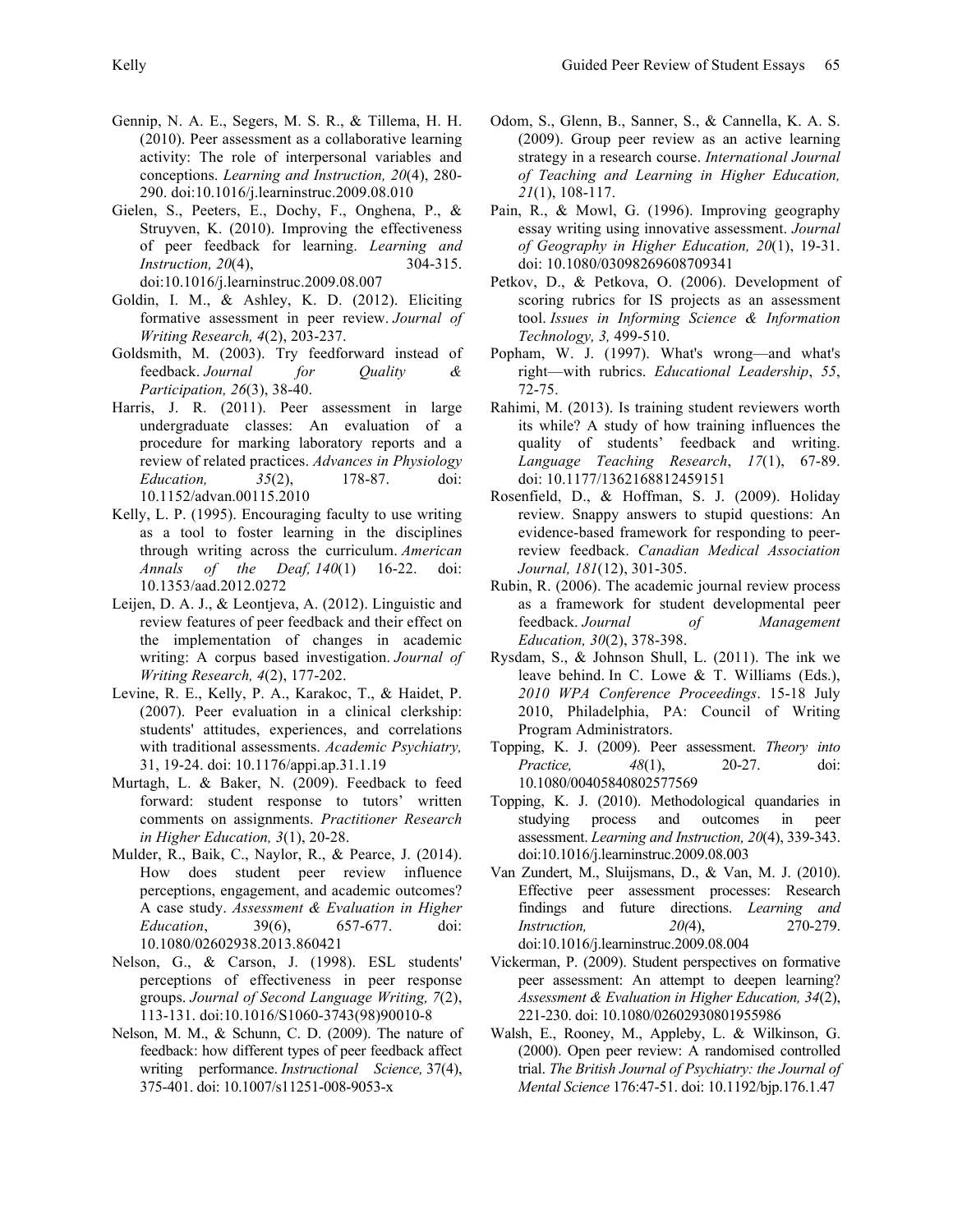- Gennip, N. A. E., Segers, M. S. R., & Tillema, H. H. (2010). Peer assessment as a collaborative learning activity: The role of interpersonal variables and conceptions. *Learning and Instruction, 20*(4), 280- 290. doi:10.1016/j.learninstruc.2009.08.010
- Gielen, S., Peeters, E., Dochy, F., Onghena, P., & Struyven, K. (2010). Improving the effectiveness of peer feedback for learning. *Learning and Instruction, 20*(4), 304-315. doi:10.1016/j.learninstruc.2009.08.007
- Goldin, I. M., & Ashley, K. D. (2012). Eliciting formative assessment in peer review. *Journal of Writing Research, 4*(2), 203-237.
- Goldsmith, M. (2003). Try feedforward instead of feedback. *Journal for Quality & Participation, 26*(3), 38-40.
- Harris, J. R. (2011). Peer assessment in large undergraduate classes: An evaluation of a procedure for marking laboratory reports and a review of related practices. *Advances in Physiology Education, 35*(2), 178-87. doi: 10.1152/advan.00115.2010
- Kelly, L. P. (1995). Encouraging faculty to use writing as a tool to foster learning in the disciplines through writing across the curriculum. *American Annals of the Deaf, 140*(1) 16-22. doi: 10.1353/aad.2012.0272
- Leijen, D. A. J., & Leontjeva, A. (2012). Linguistic and review features of peer feedback and their effect on the implementation of changes in academic writing: A corpus based investigation. *Journal of Writing Research, 4*(2), 177-202.
- Levine, R. E., Kelly, P. A., Karakoc, T., & Haidet, P. (2007). Peer evaluation in a clinical clerkship: students' attitudes, experiences, and correlations with traditional assessments. *Academic Psychiatry,*  31, 19-24. doi: 10.1176/appi.ap.31.1.19
- Murtagh, L. & Baker, N. (2009). Feedback to feed forward: student response to tutors' written comments on assignments. *Practitioner Research in Higher Education, 3*(1), 20-28.
- Mulder, R., Baik, C., Naylor, R., & Pearce, J. (2014). How does student peer review influence perceptions, engagement, and academic outcomes? A case study. *Assessment & Evaluation in Higher Education*, 39(6), 657-677. doi: 10.1080/02602938.2013.860421
- Nelson, G., & Carson, J. (1998). ESL students' perceptions of effectiveness in peer response groups. *Journal of Second Language Writing, 7*(2), 113-131. doi:10.1016/S1060-3743(98)90010-8
- Nelson, M. M., & Schunn, C. D. (2009). The nature of feedback: how different types of peer feedback affect writing performance. *Instructional Science,* 37(4), 375-401. doi: 10.1007/s11251-008-9053-x
- Odom, S., Glenn, B., Sanner, S., & Cannella, K. A. S. (2009). Group peer review as an active learning strategy in a research course. *International Journal of Teaching and Learning in Higher Education, 21*(1), 108-117.
- Pain, R., & Mowl, G. (1996). Improving geography essay writing using innovative assessment. *Journal of Geography in Higher Education, 20*(1), 19-31. doi: 10.1080/03098269608709341
- Petkov, D., & Petkova, O. (2006). Development of scoring rubrics for IS projects as an assessment tool. *Issues in Informing Science & Information Technology, 3,* 499-510.
- Popham, W. J. (1997). What's wrong—and what's right—with rubrics. *Educational Leadership*, *55*, 72-75.
- Rahimi, M. (2013). Is training student reviewers worth its while? A study of how training influences the quality of students' feedback and writing. *Language Teaching Research*, *17*(1), 67-89. doi: 10.1177/1362168812459151
- Rosenfield, D., & Hoffman, S. J. (2009). Holiday review. Snappy answers to stupid questions: An evidence-based framework for responding to peerreview feedback. *Canadian Medical Association Journal, 181*(12), 301-305.
- Rubin, R. (2006). The academic journal review process as a framework for student developmental peer feedback. *Journal of Management Education, 30*(2), 378-398.
- Rysdam, S., & Johnson Shull, L. (2011). The ink we leave behind. In C. Lowe & T. Williams (Eds.), *2010 WPA Conference Proceedings*. 15-18 July 2010, Philadelphia, PA: Council of Writing Program Administrators.
- Topping, K. J. (2009). Peer assessment. *Theory into Practice, 48*(1), 20-27. doi: 10.1080/00405840802577569
- Topping, K. J. (2010). Methodological quandaries in studying process and outcomes in peer assessment. *Learning and Instruction, 20*(4), 339-343. doi:10.1016/j.learninstruc.2009.08.003
- Van Zundert, M., Sluijsmans, D., & Van, M. J. (2010). Effective peer assessment processes: Research findings and future directions. *Learning and Instruction, 20(*4), 270-279. doi:10.1016/j.learninstruc.2009.08.004
- Vickerman, P. (2009). Student perspectives on formative peer assessment: An attempt to deepen learning? *Assessment & Evaluation in Higher Education, 34*(2), 221-230. doi: 10.1080/02602930801955986
- Walsh, E., Rooney, M., Appleby, L. & Wilkinson, G. (2000). Open peer review: A randomised controlled trial. *The British Journal of Psychiatry: the Journal of Mental Science* 176:47-51. doi: 10.1192/bjp.176.1.47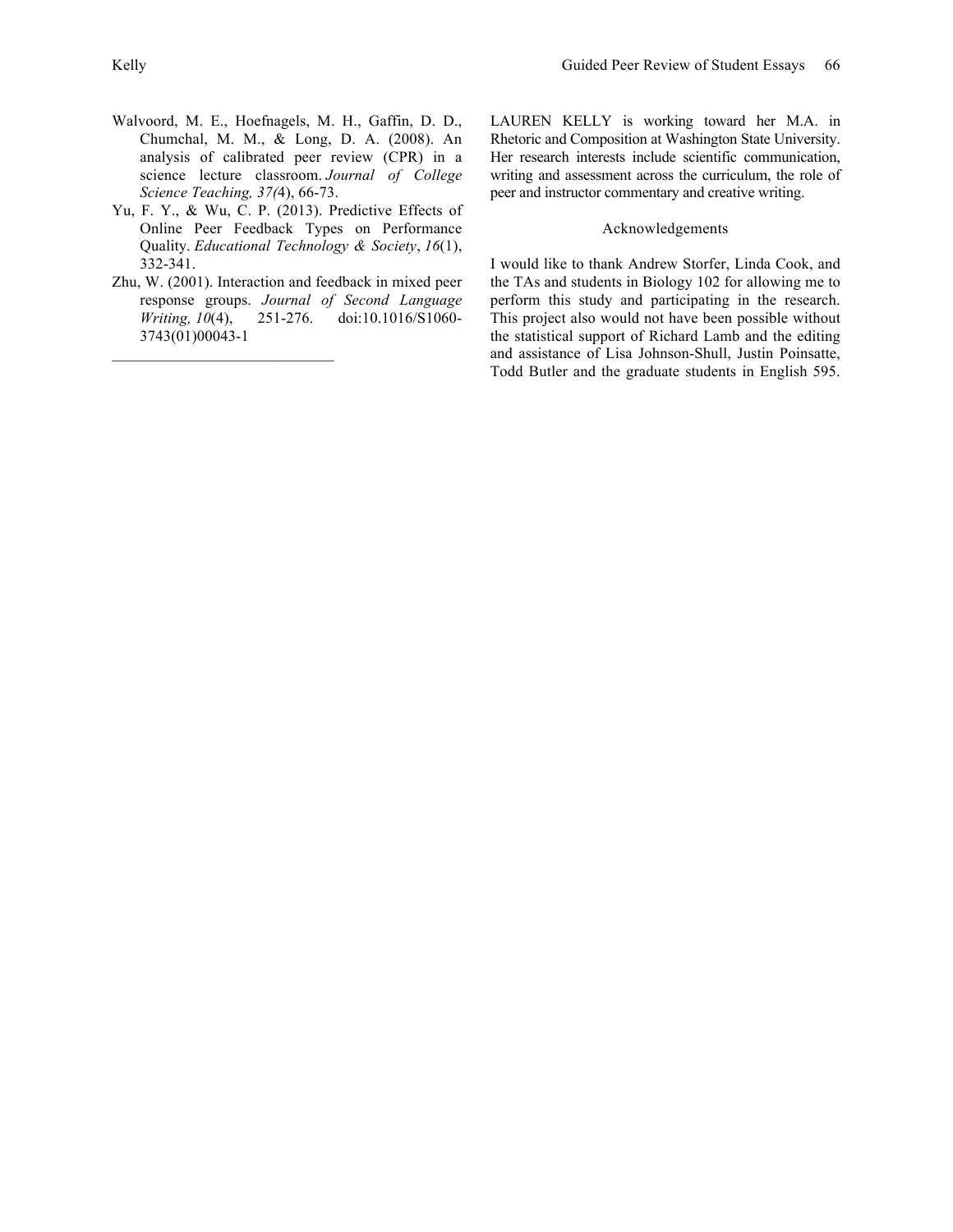- Walvoord, M. E., Hoefnagels, M. H., Gaffin, D. D., Chumchal, M. M., & Long, D. A. (2008). An analysis of calibrated peer review (CPR) in a science lecture classroom. *Journal of College Science Teaching, 37(*4), 66-73.
- Yu, F. Y., & Wu, C. P. (2013). Predictive Effects of Online Peer Feedback Types on Performance Quality. *Educational Technology & Society*, *16*(1), 332-341.
- Zhu, W. (2001). Interaction and feedback in mixed peer response groups. *Journal of Second Language Writing, 10*(4), 251-276. doi:10.1016/S1060- 3743(01)00043-1

LAUREN KELLY is working toward her M.A. in Rhetoric and Composition at Washington State University. Her research interests include scientific communication, writing and assessment across the curriculum, the role of peer and instructor commentary and creative writing.

### Acknowledgements

I would like to thank Andrew Storfer, Linda Cook, and the TAs and students in Biology 102 for allowing me to perform this study and participating in the research. This project also would not have been possible without the statistical support of Richard Lamb and the editing and assistance of Lisa Johnson-Shull, Justin Poinsatte, Todd Butler and the graduate students in English 595.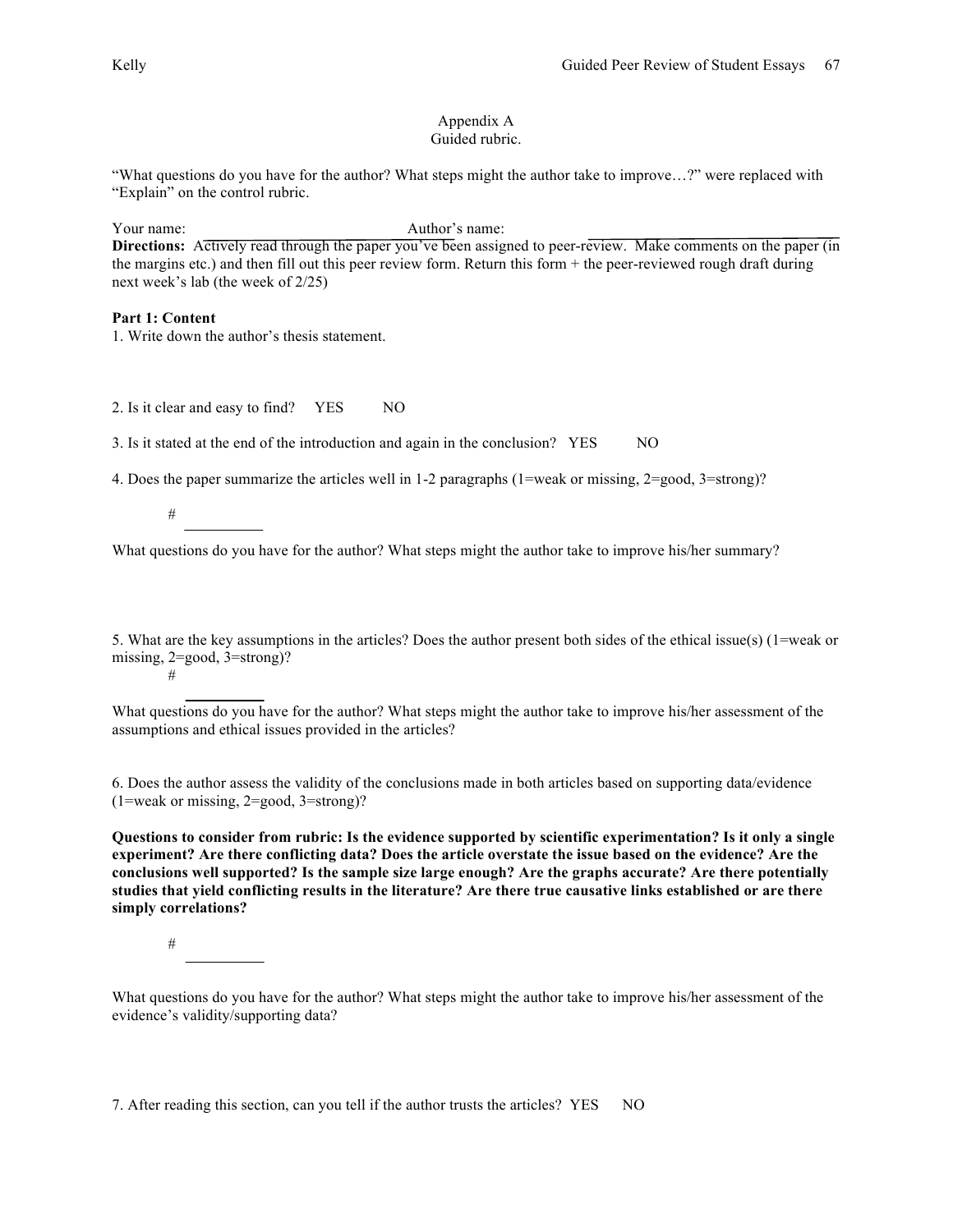#### Appendix A Guided rubric.

"What questions do you have for the author? What steps might the author take to improve…?" were replaced with "Explain" on the control rubric.

Your name: Author's name:

**Directions:** Actively read through the paper you've been assigned to peer-review. Make comments on the paper (in the margins etc.) and then fill out this peer review form. Return this form + the peer-reviewed rough draft during next week's lab (the week of 2/25)

### **Part 1: Content**

1. Write down the author's thesis statement.

2. Is it clear and easy to find? YES NO

3. Is it stated at the end of the introduction and again in the conclusion? YES NO

4. Does the paper summarize the articles well in 1-2 paragraphs (1=weak or missing, 2=good, 3=strong)?

#

What questions do you have for the author? What steps might the author take to improve his/her summary?

5. What are the key assumptions in the articles? Does the author present both sides of the ethical issue(s) (1=weak or missing, 2=good, 3=strong)? #

What questions do you have for the author? What steps might the author take to improve his/her assessment of the assumptions and ethical issues provided in the articles?

6. Does the author assess the validity of the conclusions made in both articles based on supporting data/evidence (1=weak or missing, 2=good, 3=strong)?

**Questions to consider from rubric: Is the evidence supported by scientific experimentation? Is it only a single experiment? Are there conflicting data? Does the article overstate the issue based on the evidence? Are the conclusions well supported? Is the sample size large enough? Are the graphs accurate? Are there potentially studies that yield conflicting results in the literature? Are there true causative links established or are there simply correlations?**

#

What questions do you have for the author? What steps might the author take to improve his/her assessment of the evidence's validity/supporting data?

7. After reading this section, can you tell if the author trusts the articles? YES NO